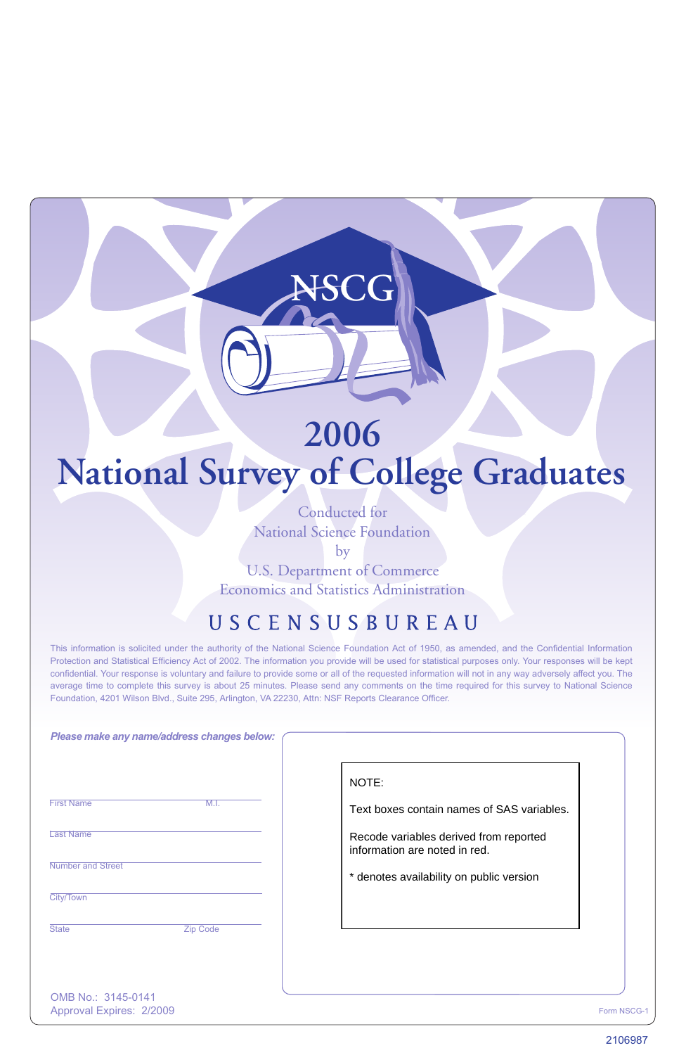# **2006 National Survey of College Graduates**

**NSCG**

Conducted for National Science Foundation

by

U.S. Department of Commerce Economics and Statistics Administration

## USCENSUSBUREAU

This information is solicited under the authority of the National Science Foundation Act of 1950, as amended, and the Confidential Information Protection and Statistical Efficiency Act of 2002. The information you provide will be used for statistical purposes only. Your responses will be kept confidential. Your response is voluntary and failure to provide some or all of the requested information will not in any way adversely affect you. The average time to complete this survey is about 25 minutes. Please send any comments on the time required for this survey to National Science Foundation, 4201 Wilson Blvd., Suite 295, Arlington, VA 22230, Attn: NSF Reports Clearance Officer.

| Please make any name/address changes below:    |                                                                         |
|------------------------------------------------|-------------------------------------------------------------------------|
|                                                | NOTE:                                                                   |
| <b>First Name</b><br>M.I.                      | Text boxes contain names of SAS variables.                              |
| <b>Last Name</b>                               | Recode variables derived from reported<br>information are noted in red. |
| <b>Number and Street</b>                       | * denotes availability on public version                                |
| City/Town                                      |                                                                         |
| <b>State</b><br><b>Zip Code</b>                |                                                                         |
|                                                |                                                                         |
|                                                |                                                                         |
| OMB No.: 3145-0141<br>Approval Expires: 2/2009 | Form NSCG-                                                              |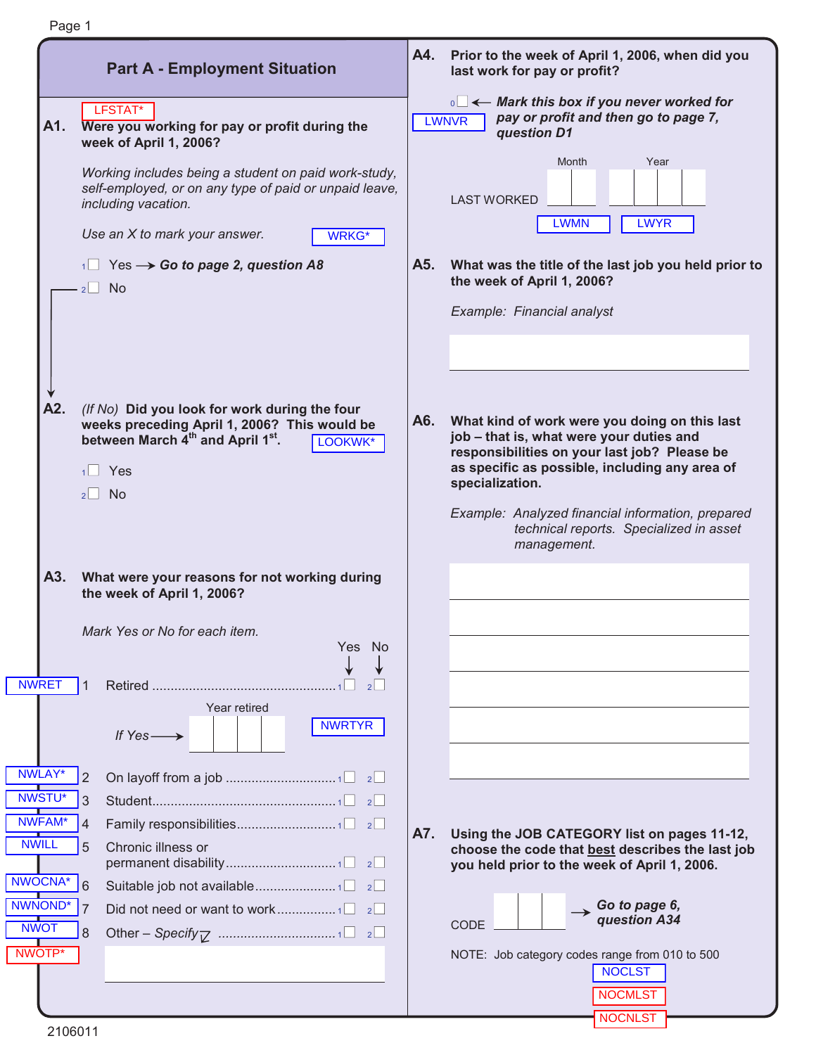|                                                          | <b>Part A - Employment Situation</b>                                                                                                                                                   | A4. | Prior to the week of April 1, 2006, when did you<br>last work for pay or profit?                                                                                                                               |
|----------------------------------------------------------|----------------------------------------------------------------------------------------------------------------------------------------------------------------------------------------|-----|----------------------------------------------------------------------------------------------------------------------------------------------------------------------------------------------------------------|
| A1.                                                      | LFSTAT*<br>Were you working for pay or profit during the<br>week of April 1, 2006?                                                                                                     |     | $\overline{\mathbb{R}}$ $\leftarrow$ Mark this box if you never worked for<br>pay or profit and then go to page 7,<br><b>LWNVR</b><br>question D1                                                              |
|                                                          | Working includes being a student on paid work-study,<br>self-employed, or on any type of paid or unpaid leave,<br>including vacation.<br>Use an X to mark your answer.<br><b>WRKG*</b> |     | Month<br>Year<br><b>LAST WORKED</b><br><b>LWYR</b><br><b>LWMN</b>                                                                                                                                              |
|                                                          | $\overline{AB}$ Yes $\rightarrow$ Go to page 2, question A8<br>$2 \cup$ No                                                                                                             | A5. | What was the title of the last job you held prior to<br>the week of April 1, 2006?<br>Example: Financial analyst                                                                                               |
|                                                          |                                                                                                                                                                                        |     |                                                                                                                                                                                                                |
| A2.                                                      | (If No) Did you look for work during the four<br>weeks preceding April 1, 2006? This would be<br>between March 4th and April 1st.<br>LOOKWK*<br>$1 \square$ Yes<br>$2$ No              | A6. | What kind of work were you doing on this last<br>job - that is, what were your duties and<br>responsibilities on your last job? Please be<br>as specific as possible, including any area of<br>specialization. |
|                                                          |                                                                                                                                                                                        |     | Example: Analyzed financial information, prepared<br>technical reports. Specialized in asset<br>management.                                                                                                    |
| A3.                                                      | What were your reasons for not working during<br>the week of April 1, 2006?                                                                                                            |     |                                                                                                                                                                                                                |
|                                                          | Mark Yes or No for each item.<br>Yes No                                                                                                                                                |     |                                                                                                                                                                                                                |
| <b>NWRET</b>                                             | Year retired<br><b>NWRTYR</b><br>If $Yes \longrightarrow$                                                                                                                              |     |                                                                                                                                                                                                                |
| NWLAY*                                                   |                                                                                                                                                                                        |     |                                                                                                                                                                                                                |
| <b>NWSTU*</b><br>3<br><b>NWFAM*</b><br><b>NWILL</b><br>5 | Chronic illness or                                                                                                                                                                     | A7. | Using the JOB CATEGORY list on pages 11-12,<br>choose the code that best describes the last job<br>you held prior to the week of April 1, 2006.                                                                |
| NWOCNA*<br>NWNOND*<br>7<br><b>NWOT</b><br>8              |                                                                                                                                                                                        |     | $\rightarrow$ Go to page 6,<br>question A34<br>CODE                                                                                                                                                            |
| NWOTP*                                                   |                                                                                                                                                                                        |     | NOTE: Job category codes range from 010 to 500<br><b>NOCLST</b><br><b>NOCMLST</b>                                                                                                                              |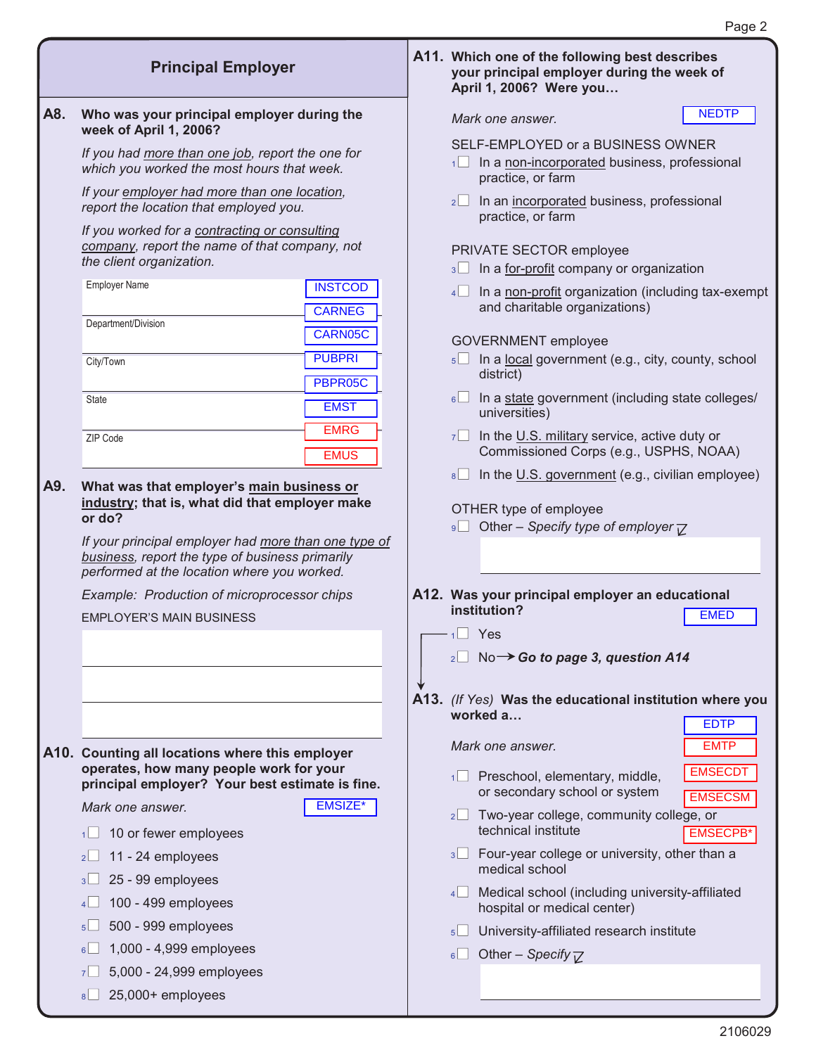|     | <b>Principal Employer</b>                                                                                                                              |                                 |                 | A11. Which one of the following best describes<br>your principal employer during the week of<br>April 1, 2006? Were you |                                  |
|-----|--------------------------------------------------------------------------------------------------------------------------------------------------------|---------------------------------|-----------------|-------------------------------------------------------------------------------------------------------------------------|----------------------------------|
| A8. | Who was your principal employer during the<br>week of April 1, 2006?                                                                                   |                                 |                 | Mark one answer.                                                                                                        | <b>NEDTP</b>                     |
|     | If you had more than one job, report the one for<br>which you worked the most hours that week.                                                         |                                 |                 | SELF-EMPLOYED or a BUSINESS OWNER<br>1 In a non-incorporated business, professional<br>practice, or farm                |                                  |
|     | If your employer had more than one location,<br>report the location that employed you.                                                                 |                                 | $2^{\vert}$     | In an incorporated business, professional<br>practice, or farm                                                          |                                  |
|     | If you worked for a contracting or consulting<br>company, report the name of that company, not<br>the client organization.                             |                                 |                 | PRIVATE SECTOR employee<br>$\sqrt{3}$ In a for-profit company or organization                                           |                                  |
|     | <b>Employer Name</b>                                                                                                                                   | <b>INSTCOD</b><br><b>CARNEG</b> | 4               | In a non-profit organization (including tax-exempt<br>and charitable organizations)                                     |                                  |
|     | Department/Division<br><b>PUBPRI</b><br>City/Town                                                                                                      | CARN05C                         |                 | <b>GOVERNMENT</b> employee<br>5 In a local government (e.g., city, county, school                                       |                                  |
|     | State                                                                                                                                                  | PBPR05C                         |                 | district)<br>$\frac{1}{10}$ In a state government (including state colleges/                                            |                                  |
|     | ZIP Code                                                                                                                                               | <b>EMST</b><br><b>EMRG</b>      | $7^{\circ}$     | universities)<br>In the U.S. military service, active duty or                                                           |                                  |
|     |                                                                                                                                                        | <b>EMUS</b>                     | 8               | Commissioned Corps (e.g., USPHS, NOAA)<br>In the U.S. government (e.g., civilian employee)                              |                                  |
| A9. | What was that employer's main business or<br>industry; that is, what did that employer make<br>or do?                                                  |                                 |                 | OTHER type of employee<br>Other – Specify type of employer $\nabla$                                                     |                                  |
|     | If your principal employer had more than one type of<br>business, report the type of business primarily<br>performed at the location where you worked. |                                 |                 |                                                                                                                         |                                  |
|     | Example: Production of microprocessor chips                                                                                                            |                                 |                 | A12. Was your principal employer an educational                                                                         |                                  |
|     | <b>EMPLOYER'S MAIN BUSINESS</b>                                                                                                                        |                                 |                 | institution?                                                                                                            | <b>EMED</b>                      |
|     |                                                                                                                                                        |                                 | $1 \square$ Yes |                                                                                                                         |                                  |
|     |                                                                                                                                                        |                                 |                 | No $\rightarrow$ Go to page 3, question A14                                                                             |                                  |
|     |                                                                                                                                                        |                                 |                 | A13. (If Yes) Was the educational institution where you<br>worked a                                                     | <b>EDTP</b>                      |
|     | A10. Counting all locations where this employer                                                                                                        |                                 |                 | Mark one answer.                                                                                                        | <b>EMTP</b>                      |
|     | operates, how many people work for your<br>principal employer? Your best estimate is fine.                                                             |                                 |                 | 1 Preschool, elementary, middle,<br>or secondary school or system                                                       | <b>EMSECDT</b><br><b>EMSECSM</b> |
|     | Mark one answer.<br>10 or fewer employees<br>$1 \Box$                                                                                                  | EMSIZE*                         |                 | $2\Box$ Two-year college, community college, or<br>technical institute                                                  | <b>EMSECPB*</b>                  |
|     | 11 - 24 employees<br>2                                                                                                                                 |                                 |                 | 3 Four-year college or university, other than a<br>medical school                                                       |                                  |
|     | 25 - 99 employees<br>$3\sqcup$<br>100 - 499 employees<br>4                                                                                             |                                 |                 | 4 Medical school (including university-affiliated<br>hospital or medical center)                                        |                                  |
|     | 500 - 999 employees<br>$5\Box$                                                                                                                         |                                 | $5$             | University-affiliated research institute                                                                                |                                  |
|     | 1,000 - 4,999 employees<br>6                                                                                                                           |                                 | 6               | Other – Specify $\nabla$                                                                                                |                                  |
|     | 5,000 - 24,999 employees<br>7                                                                                                                          |                                 |                 |                                                                                                                         |                                  |
|     | 25,000+ employees<br>8 L                                                                                                                               |                                 |                 |                                                                                                                         |                                  |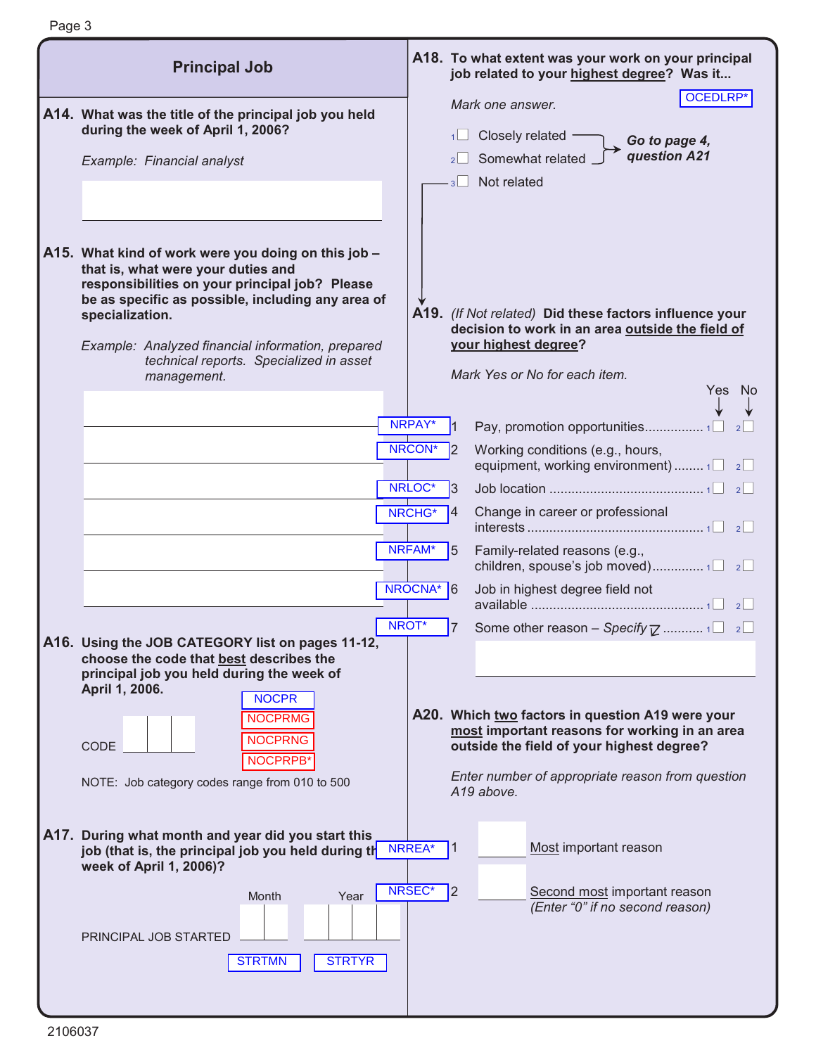| <b>Principal Job</b>                                                                                                                                                                                                                                                                                                               |                                 |         | A18. To what extent was your work on your principal<br>job related to your highest degree? Was it                                                                                                                |
|------------------------------------------------------------------------------------------------------------------------------------------------------------------------------------------------------------------------------------------------------------------------------------------------------------------------------------|---------------------------------|---------|------------------------------------------------------------------------------------------------------------------------------------------------------------------------------------------------------------------|
| A14. What was the title of the principal job you held<br>during the week of April 1, 2006?<br>Example: Financial analyst                                                                                                                                                                                                           |                                 |         | OCEDLRP*<br>Mark one answer.<br>Closely related -<br>Go to page 4,<br>question A21<br>Somewhat related<br>Not related                                                                                            |
| A15. What kind of work were you doing on this job -<br>that is, what were your duties and<br>responsibilities on your principal job? Please<br>be as specific as possible, including any area of<br>specialization.<br>Example: Analyzed financial information, prepared<br>technical reports. Specialized in asset<br>management. |                                 |         | A19. (If Not related) Did these factors influence your<br>decision to work in an area outside the field of<br>your highest degree?<br>Mark Yes or No for each item.                                              |
|                                                                                                                                                                                                                                                                                                                                    | NRPAY*<br>NRCON*                |         | Yes No<br>Pay, promotion opportunities1<br>Working conditions (e.g., hours,<br>equipment, working environment)  1 2                                                                                              |
|                                                                                                                                                                                                                                                                                                                                    | NRLOC*<br>NRCHG*                | l3<br>4 | Change in career or professional                                                                                                                                                                                 |
|                                                                                                                                                                                                                                                                                                                                    | NRFAM*<br>NROCNA <sup>*</sup> 6 | 5       | Family-related reasons (e.g.,<br>Job in highest degree field not                                                                                                                                                 |
| A16. Using the JOB CATEGORY list on pages 11-12,<br>choose the code that best describes the                                                                                                                                                                                                                                        | NROT*                           | 7       | Some other reason - Specify $\mathbb{Z}$ 1                                                                                                                                                                       |
| principal job you held during the week of<br>April 1, 2006.<br><b>NOCPR</b><br><b>NOCPRMG</b><br><b>NOCPRNG</b><br>CODE<br>NOCPRPB'<br>NOTE: Job category codes range from 010 to 500                                                                                                                                              |                                 |         | A20. Which two factors in question A19 were your<br>most important reasons for working in an area<br>outside the field of your highest degree?<br>Enter number of appropriate reason from question<br>A19 above. |
| A17. During what month and year did you start this<br>job (that is, the principal job you held during th<br>week of April 1, 2006)?                                                                                                                                                                                                | NRREA*                          | 1       | Most important reason                                                                                                                                                                                            |
| Year<br>Month<br>PRINCIPAL JOB STARTED<br><b>STRTMN</b><br><b>STRTYR</b>                                                                                                                                                                                                                                                           | NRSEC*                          | 2       | Second most important reason<br>(Enter "0" if no second reason)                                                                                                                                                  |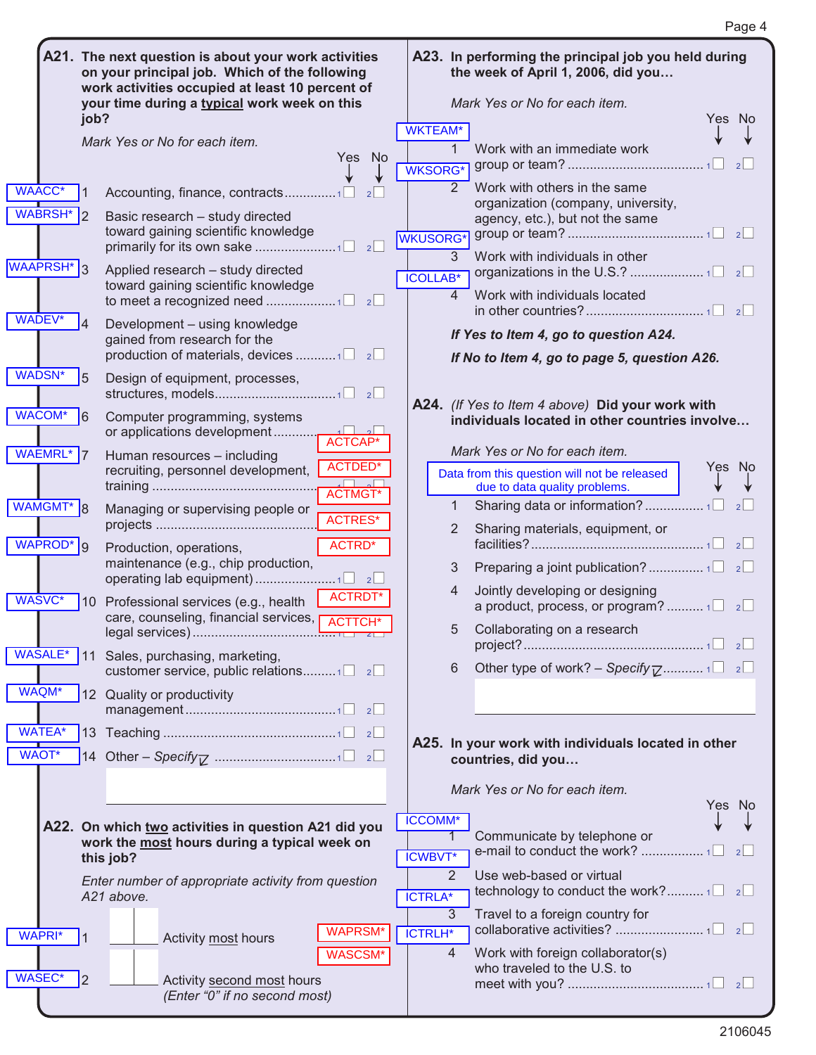|                                   |                 | A21. The next question is about your work activities<br>on your principal job. Which of the following<br>work activities occupied at least 10 percent of<br>your time during a typical work week on this |                                 | A23. In performing the principal job you held during<br>the week of April 1, 2006, did you<br>Mark Yes or No for each item. |                     |                                                                                    |        |  |  |
|-----------------------------------|-----------------|----------------------------------------------------------------------------------------------------------------------------------------------------------------------------------------------------------|---------------------------------|-----------------------------------------------------------------------------------------------------------------------------|---------------------|------------------------------------------------------------------------------------|--------|--|--|
|                                   | job?            |                                                                                                                                                                                                          |                                 |                                                                                                                             |                     |                                                                                    | Yes No |  |  |
|                                   |                 | Mark Yes or No for each item.                                                                                                                                                                            |                                 | <b>WKTEAM*</b>                                                                                                              |                     |                                                                                    |        |  |  |
|                                   |                 |                                                                                                                                                                                                          | <b>Yes</b><br><b>No</b>         | <b>WKSORG*</b>                                                                                                              |                     | Work with an immediate work                                                        | 2      |  |  |
| <b>WAACC*</b>                     |                 | Accounting, finance, contracts1                                                                                                                                                                          |                                 |                                                                                                                             | 2                   | Work with others in the same<br>organization (company, university,                 |        |  |  |
| WABRSH <sup>*</sup> 2             |                 | Basic research - study directed<br>toward gaining scientific knowledge                                                                                                                                   | $\vert$ 2                       | <b>WKUSORG*</b>                                                                                                             |                     | agency, etc.), but not the same                                                    |        |  |  |
| <b>WAAPRSH*</b><br>$\overline{3}$ |                 | Applied research - study directed<br>toward gaining scientific knowledge                                                                                                                                 | 2                               | <b>ICOLLAB*</b>                                                                                                             | 3<br>$\overline{4}$ | Work with individuals in other<br>Work with individuals located                    |        |  |  |
| WADEV*                            |                 |                                                                                                                                                                                                          |                                 |                                                                                                                             |                     |                                                                                    |        |  |  |
| $\overline{\mathcal{A}}$          |                 | Development - using knowledge<br>gained from research for the                                                                                                                                            |                                 |                                                                                                                             |                     | If Yes to Item 4, go to question A24.                                              |        |  |  |
| WADSN*<br>5                       |                 | Design of equipment, processes,                                                                                                                                                                          |                                 |                                                                                                                             |                     | If No to Item 4, go to page 5, question A26.                                       |        |  |  |
|                                   |                 |                                                                                                                                                                                                          |                                 |                                                                                                                             |                     | A24. (If Yes to Item 4 above) Did your work with                                   |        |  |  |
| WACOM*<br>l6                      |                 | Computer programming, systems<br>or applications development                                                                                                                                             | ACTCAP*                         |                                                                                                                             |                     | individuals located in other countries involve                                     |        |  |  |
| WAEMRL*7                          |                 | Human resources - including                                                                                                                                                                              |                                 |                                                                                                                             |                     | Mark Yes or No for each item.                                                      |        |  |  |
|                                   |                 | recruiting, personnel development,                                                                                                                                                                       | <b>ACTDED*</b><br><b>ACTMGT</b> |                                                                                                                             |                     | Data from this question will not be released<br>due to data quality problems.      | Yes No |  |  |
| WAMGMT*<br>$\overline{8}$         |                 | Managing or supervising people or                                                                                                                                                                        | <b>ACTRES*</b>                  |                                                                                                                             | $\mathbf{1}$<br>2   | Sharing materials, equipment, or                                                   |        |  |  |
| WAPROD <sup>*</sup> 9             |                 | Production, operations,                                                                                                                                                                                  | ACTRD*                          |                                                                                                                             |                     |                                                                                    | 2      |  |  |
|                                   |                 | maintenance (e.g., chip production,                                                                                                                                                                      |                                 |                                                                                                                             | 3                   | Preparing a joint publication?  1□ 2□                                              |        |  |  |
| WASVC*                            | 10 <sup>°</sup> | Professional services (e.g., health                                                                                                                                                                      | <b>ACTRDT*</b>                  |                                                                                                                             | 4                   | Jointly developing or designing<br>a product, process, or program? $1\Box$ $2\Box$ |        |  |  |
|                                   |                 | care, counseling, financial services, p                                                                                                                                                                  | <b>ACTTCH</b>                   |                                                                                                                             | 5                   | Collaborating on a research                                                        |        |  |  |
|                                   |                 | WASALE <sup>*</sup> 11 Sales, purchasing, marketing,<br>customer service, public relations1 $\Box$ 2 $\Box$                                                                                              |                                 |                                                                                                                             | 6                   | Other type of work? - Specify $\overline{Z}$ 1 2                                   |        |  |  |
| WAQM*                             |                 | 12 Quality or productivity                                                                                                                                                                               |                                 |                                                                                                                             |                     |                                                                                    |        |  |  |
| <b>WATEA*</b>                     |                 |                                                                                                                                                                                                          |                                 |                                                                                                                             |                     |                                                                                    |        |  |  |
| <b>WAOT*</b>                      |                 |                                                                                                                                                                                                          |                                 |                                                                                                                             |                     | A25. In your work with individuals located in other<br>countries, did you          |        |  |  |
|                                   |                 |                                                                                                                                                                                                          |                                 |                                                                                                                             |                     | Mark Yes or No for each item.                                                      |        |  |  |
|                                   |                 |                                                                                                                                                                                                          |                                 | <b>ICCOMM*</b>                                                                                                              |                     |                                                                                    | Yes No |  |  |
|                                   |                 | A22. On which two activities in question A21 did you<br>work the most hours during a typical week on                                                                                                     |                                 |                                                                                                                             |                     | Communicate by telephone or                                                        |        |  |  |
|                                   | this job?       |                                                                                                                                                                                                          |                                 | <b>ICWBVT*</b>                                                                                                              |                     |                                                                                    | 2      |  |  |
|                                   |                 | Enter number of appropriate activity from question                                                                                                                                                       |                                 |                                                                                                                             | 2                   | Use web-based or virtual                                                           |        |  |  |
|                                   | A21 above.      |                                                                                                                                                                                                          |                                 | <b>ICTRLA*</b>                                                                                                              |                     |                                                                                    |        |  |  |
|                                   |                 |                                                                                                                                                                                                          | <b>WAPRSM*</b>                  |                                                                                                                             | 3                   | Travel to a foreign country for                                                    |        |  |  |
| WAPRI*<br>$\overline{1}$          |                 | Activity most hours                                                                                                                                                                                      |                                 | <b>ICTRLH*</b>                                                                                                              | 4                   |                                                                                    |        |  |  |
|                                   |                 |                                                                                                                                                                                                          | WASCSM*                         |                                                                                                                             |                     | Work with foreign collaborator(s)<br>who traveled to the U.S. to                   |        |  |  |
| <b>WASEC*</b><br>$\mathsf{I}2$    |                 | Activity second most hours<br>(Enter "0" if no second most)                                                                                                                                              |                                 |                                                                                                                             |                     |                                                                                    |        |  |  |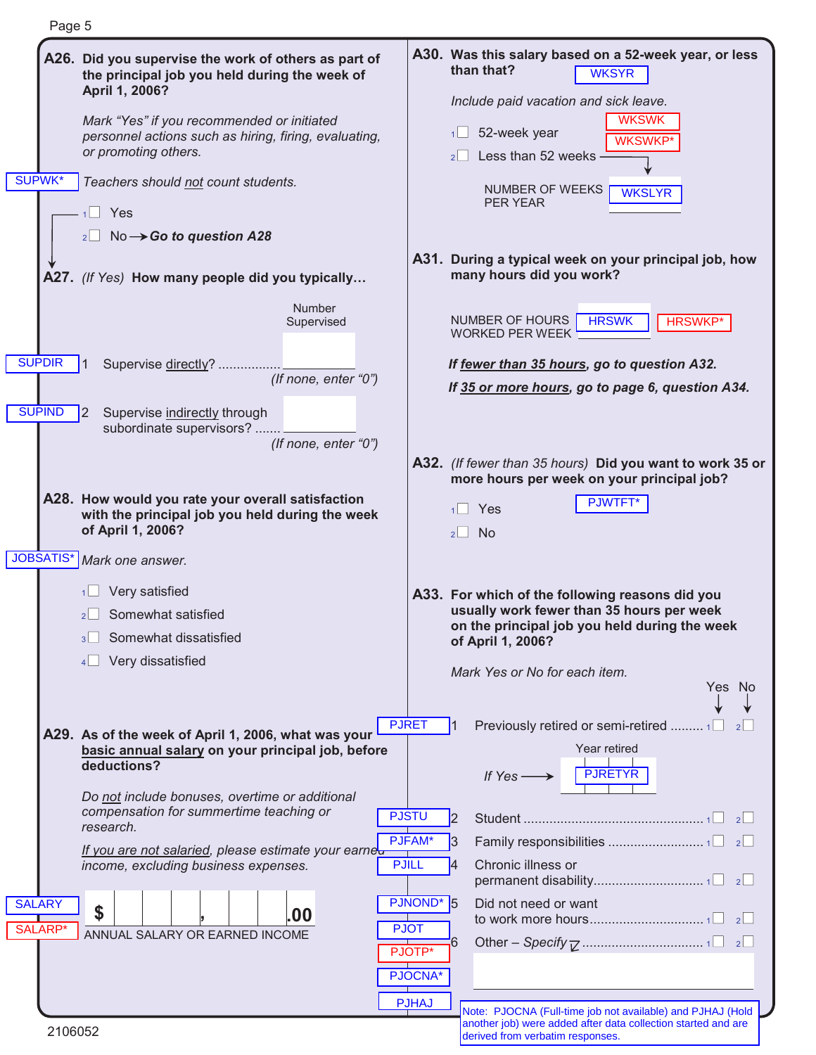| Page 5                         |                                                                                                                                                                                                                                                                                                                                                                                  |                                                                                                       |                                                                                                                                                                                                                                                                            |
|--------------------------------|----------------------------------------------------------------------------------------------------------------------------------------------------------------------------------------------------------------------------------------------------------------------------------------------------------------------------------------------------------------------------------|-------------------------------------------------------------------------------------------------------|----------------------------------------------------------------------------------------------------------------------------------------------------------------------------------------------------------------------------------------------------------------------------|
| <b>SUPWK*</b>                  | A26. Did you supervise the work of others as part of<br>the principal job you held during the week of<br>April 1, 2006?<br>Mark "Yes" if you recommended or initiated<br>personnel actions such as hiring, firing, evaluating,<br>or promoting others.<br>Teachers should not count students.<br>$1$ Yes<br>$_2$ No $\rightarrow$ Go to question A28                             |                                                                                                       | A30. Was this salary based on a 52-week year, or less<br>than that?<br><b>WKSYR</b><br>Include paid vacation and sick leave.<br><b>WKSWK</b><br>52-week year<br>1<br><b>WKSWKP</b> *<br>Less than 52 weeks<br>$2$  <br>NUMBER OF WEEKS<br><b>WKSLYR</b><br><b>PER YEAR</b> |
|                                | A27. (If Yes) How many people did you typically                                                                                                                                                                                                                                                                                                                                  |                                                                                                       | A31. During a typical week on your principal job, how<br>many hours did you work?                                                                                                                                                                                          |
| <b>SUPDIR</b><br><b>SUPIND</b> | Number<br>Supervised<br>Supervise directly?<br>(If none, enter "0")<br> 2 <br>Supervise indirectly through<br>subordinate supervisors?<br>(If none, enter "0")                                                                                                                                                                                                                   |                                                                                                       | NUMBER OF HOURS<br><b>HRSWK</b><br><b>HRSWKP*</b><br><b>WORKED PER WEEK</b><br>If fewer than 35 hours, go to question A32.<br>If 35 or more hours, go to page 6, question A34.                                                                                             |
|                                | A28. How would you rate your overall satisfaction<br>with the principal job you held during the week<br>of April 1, 2006?                                                                                                                                                                                                                                                        |                                                                                                       | A32. (If fewer than 35 hours) Did you want to work 35 or<br>more hours per week on your principal job?<br>PJWTFT*<br>$1$ Yes<br>$2 \Box$ No                                                                                                                                |
|                                | JOBSATIS* Mark one answer.<br>Very satisfied<br>Somewhat satisfied<br>Somewhat dissatisfied<br>3<br>Very dissatisfied<br>4                                                                                                                                                                                                                                                       |                                                                                                       | A33. For which of the following reasons did you<br>usually work fewer than 35 hours per week<br>on the principal job you held during the week<br>of April 1, 2006?<br>Mark Yes or No for each item.<br>Yes No                                                              |
| <b>SALARY</b><br>SALARP*       | A29. As of the week of April 1, 2006, what was your<br>basic annual salary on your principal job, before<br>deductions?<br>Do not include bonuses, overtime or additional<br>compensation for summertime teaching or<br>research.<br>If you are not salaried, please estimate your earneu<br>income, excluding business expenses.<br>\$<br>.00<br>ANNUAL SALARY OR EARNED INCOME | <b>PJRET</b><br><b>PJSTU</b><br>PJFAM*<br><b>PJILL</b><br>PJNOND*<br><b>PJOT</b><br>PJOTP*<br>PJOCNA* | Previously retired or semi-retired  1□<br>Year retired<br>PJRETYR<br>If $Yes \longrightarrow$<br> 2 <br>3<br>Chronic illness or<br>4<br><b>5</b><br>Did not need or want<br>6                                                                                              |
| 2106052                        |                                                                                                                                                                                                                                                                                                                                                                                  | <b>PJHAJ</b>                                                                                          | Note: PJOCNA (Full-time job not available) and PJHAJ (Hold<br>another job) were added after data collection started and are<br>derived from verbatim responses.                                                                                                            |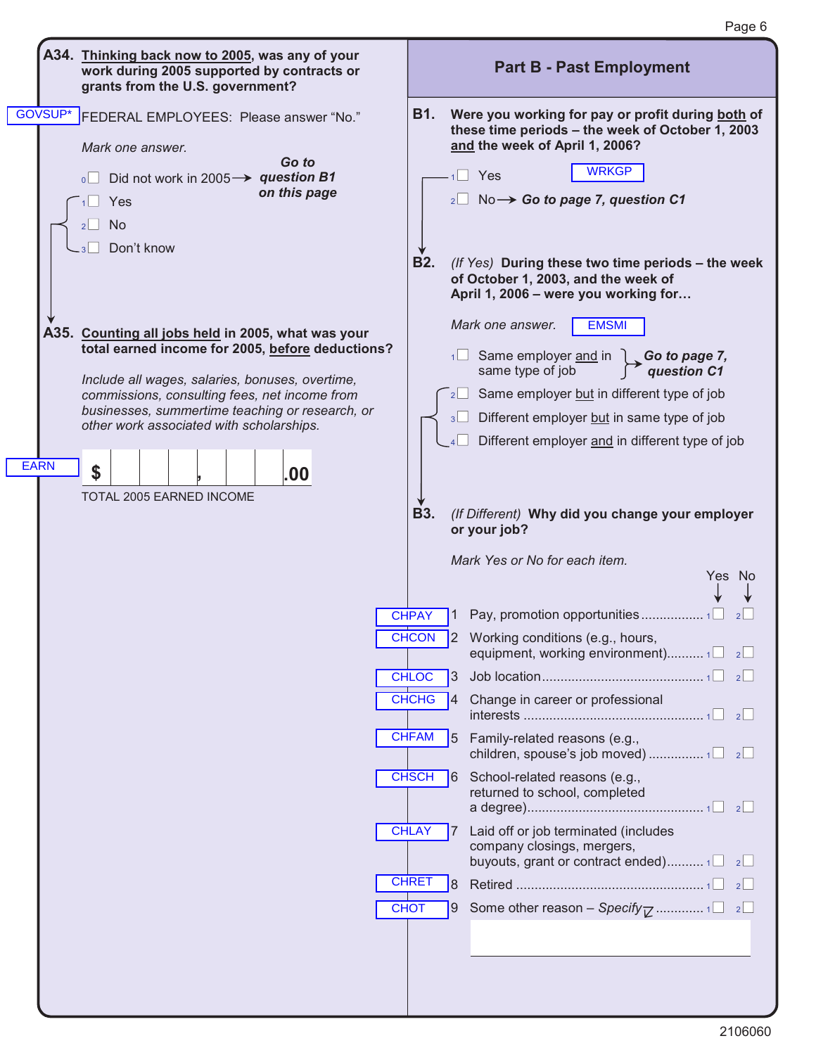

Page 6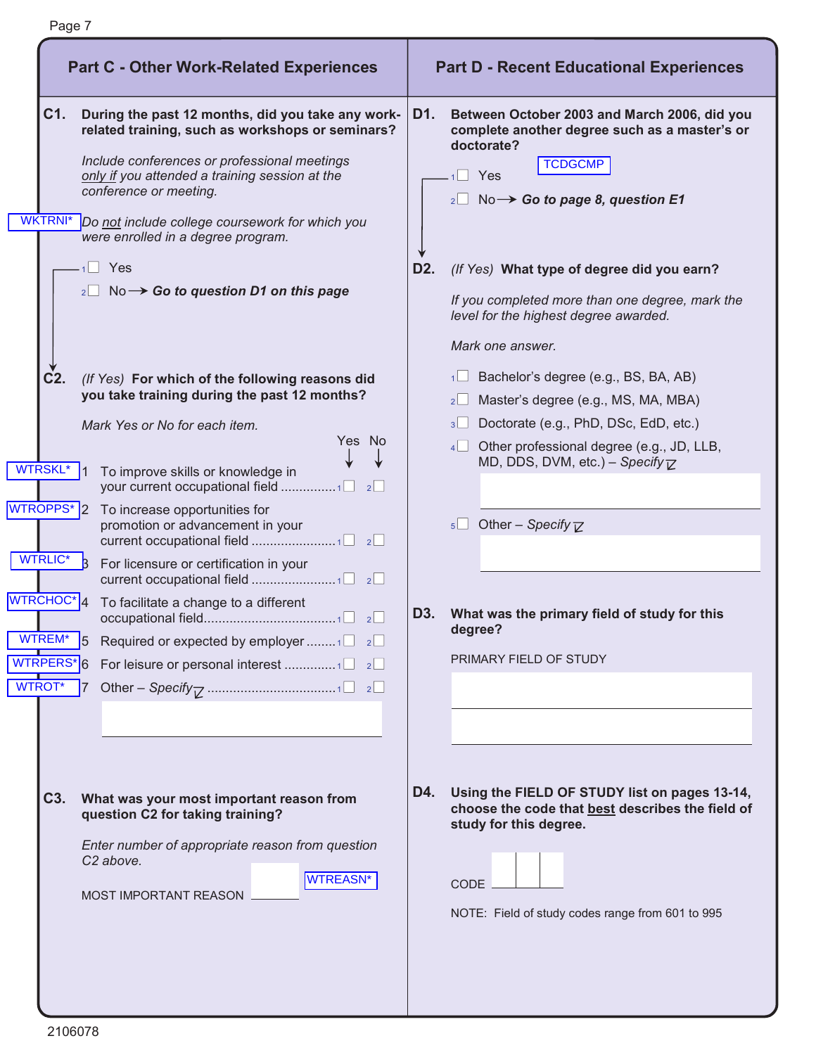|                                                                                                                                                                            | <b>Part C - Other Work-Related Experiences</b>                                                                                                                                                                                                                                                                                                                                                                                                                                                                                                                                                                                                                                                                                                                                                                                                                                                |                                | <b>Part D - Recent Educational Experiences</b>                                                                                                                                                                                                                                                                                                                                                                                                                                                                                                                                                                                                                                                                             |
|----------------------------------------------------------------------------------------------------------------------------------------------------------------------------|-----------------------------------------------------------------------------------------------------------------------------------------------------------------------------------------------------------------------------------------------------------------------------------------------------------------------------------------------------------------------------------------------------------------------------------------------------------------------------------------------------------------------------------------------------------------------------------------------------------------------------------------------------------------------------------------------------------------------------------------------------------------------------------------------------------------------------------------------------------------------------------------------|--------------------------------|----------------------------------------------------------------------------------------------------------------------------------------------------------------------------------------------------------------------------------------------------------------------------------------------------------------------------------------------------------------------------------------------------------------------------------------------------------------------------------------------------------------------------------------------------------------------------------------------------------------------------------------------------------------------------------------------------------------------------|
| C1.<br><b>WKTRNI*</b><br>$C2$ .<br><b>WTRSKL*</b><br>WTROPPS <sup>*</sup> 2<br>WTRLIC*<br>WTRCHOC <sup>*</sup> <sup>4</sup><br>WTREM*<br>b.<br>WTRPERS*6<br><b>WTROT</b> * | During the past 12 months, did you take any work-<br>related training, such as workshops or seminars?<br>Include conferences or professional meetings<br>only if you attended a training session at the<br>conference or meeting.<br>Do not include college coursework for which you<br>were enrolled in a degree program.<br>$1 \square$ Yes<br>$_{2}$ No $\rightarrow$ Go to question D1 on this page<br>(If Yes) For which of the following reasons did<br>you take training during the past 12 months?<br>Mark Yes or No for each item.<br>Yes No<br>To improve skills or knowledge in<br>your current occupational field 1<br>2<br>To increase opportunities for<br>promotion or advancement in your<br>For licensure or certification in your<br>To facilitate a change to a different<br>Required or expected by employer 1 $\Box$ 2 $\Box$<br>For leisure or personal interest 1<br>2 | D1.<br>D <sub>2</sub> .<br>D3. | Between October 2003 and March 2006, did you<br>complete another degree such as a master's or<br>doctorate?<br><b>TCDGCMP</b><br>Yes<br>$_2\square$ No $\rightarrow$ Go to page 8, question E1<br>(If Yes) What type of degree did you earn?<br>If you completed more than one degree, mark the<br>level for the highest degree awarded.<br>Mark one answer.<br>$\Box$ Bachelor's degree (e.g., BS, BA, AB)<br>Master's degree (e.g., MS, MA, MBA)<br>2<br>Doctorate (e.g., PhD, DSc, EdD, etc.)<br>3<br>Other professional degree (e.g., JD, LLB,<br>4<br>MD, DDS, DVM, etc.) - Specify $\overline{V}$<br>5 Other – Specify $\nabla$<br>What was the primary field of study for this<br>degree?<br>PRIMARY FIELD OF STUDY |
| C <sub>3</sub> .                                                                                                                                                           | What was your most important reason from<br>question C2 for taking training?<br>Enter number of appropriate reason from question<br>C <sub>2</sub> above.<br><b>WTREASN*</b><br>MOST IMPORTANT REASON                                                                                                                                                                                                                                                                                                                                                                                                                                                                                                                                                                                                                                                                                         | D4.                            | Using the FIELD OF STUDY list on pages 13-14,<br>choose the code that best describes the field of<br>study for this degree.<br><b>CODE</b><br>NOTE: Field of study codes range from 601 to 995                                                                                                                                                                                                                                                                                                                                                                                                                                                                                                                             |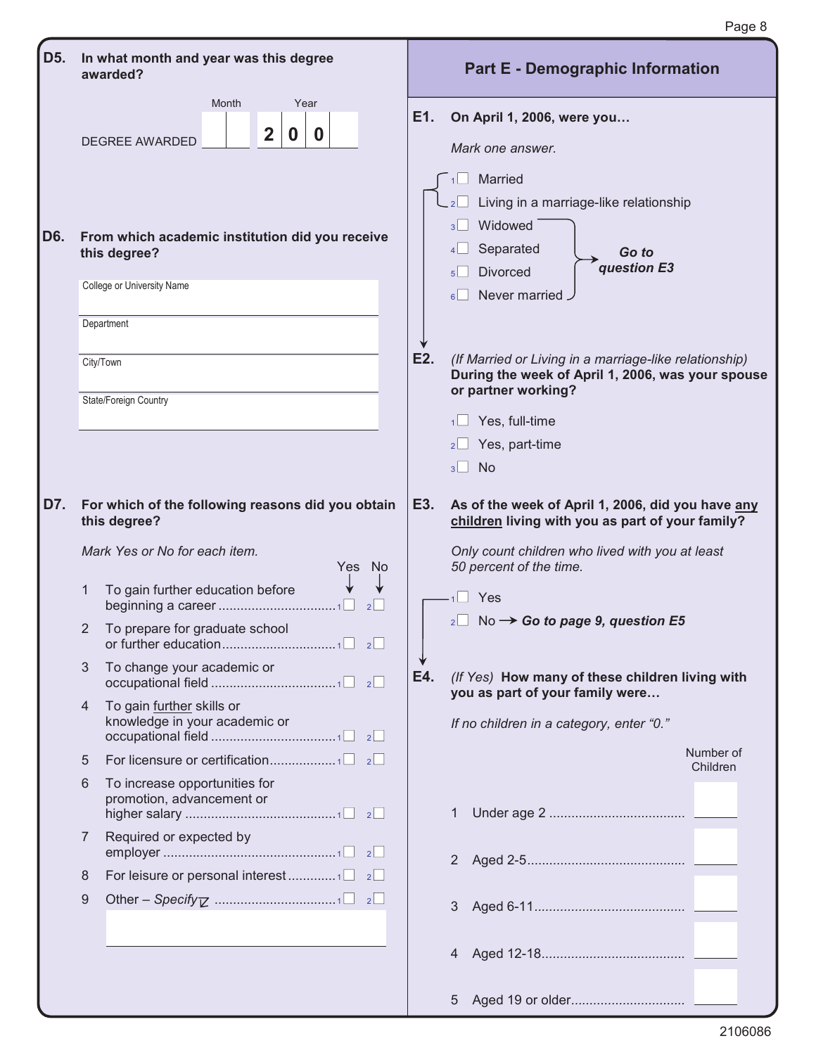|     |                |                                                                                       |     | Page 8                                                                                                                                |
|-----|----------------|---------------------------------------------------------------------------------------|-----|---------------------------------------------------------------------------------------------------------------------------------------|
| D5. |                | In what month and year was this degree<br>awarded?                                    |     | <b>Part E - Demographic Information</b>                                                                                               |
|     |                | Month<br>Year<br>$\overline{\mathbf{2}}$<br>$\mathbf 0$<br>$\bf{0}$<br>DEGREE AWARDED | E1. | On April 1, 2006, were you<br>Mark one answer.<br>Married<br>1<br>Living in a marriage-like relationship<br>Widowed<br>$\overline{3}$ |
| D6. |                | From which academic institution did you receive<br>this degree?                       |     | Separated<br>Go to<br>question E3<br><b>Divorced</b>                                                                                  |
|     |                | College or University Name                                                            |     | 5 <sup>1</sup><br>Never married<br>6 <sup>1</sup>                                                                                     |
|     |                | Department                                                                            |     |                                                                                                                                       |
|     |                | City/Town                                                                             | E2. | (If Married or Living in a marriage-like relationship)<br>During the week of April 1, 2006, was your spouse<br>or partner working?    |
|     |                | State/Foreign Country                                                                 |     | $\Box$ Yes, full-time<br>1 <sup>1</sup>                                                                                               |
|     |                |                                                                                       |     | Yes, part-time                                                                                                                        |
|     |                |                                                                                       |     | <b>No</b><br>3 <sup>1</sup>                                                                                                           |
| D7. |                | For which of the following reasons did you obtain<br>this degree?                     | E3. | As of the week of April 1, 2006, did you have any<br>children living with you as part of your family?                                 |
|     |                | Mark Yes or No for each item.<br>Yes No                                               |     | Only count children who lived with you at least<br>50 percent of the time.                                                            |
|     | 1              | To gain further education before<br>2 <sup>l</sup>                                    |     | Yes                                                                                                                                   |
|     | 2              | To prepare for graduate school                                                        |     | $_2\square$ No $\rightarrow$ Go to page 9, question E5                                                                                |
|     | $= 3$          | To change your academic or                                                            | E4. | (If Yes) How many of these children living with<br>you as part of your family were                                                    |
|     |                | To gain further skills or<br>knowledge in your academic or                            |     | If no children in a category, enter "0."                                                                                              |
|     | 5              |                                                                                       |     | Number of<br>Children                                                                                                                 |
|     | 6              | To increase opportunities for<br>promotion, advancement or                            |     | 1                                                                                                                                     |
|     | $\overline{7}$ | Required or expected by                                                               |     |                                                                                                                                       |
|     | 8              |                                                                                       |     |                                                                                                                                       |
|     | 9              |                                                                                       |     | 3                                                                                                                                     |
|     |                |                                                                                       |     | 4                                                                                                                                     |
|     |                |                                                                                       |     | 5                                                                                                                                     |

 $\equiv$ 

 $\mathbf{E}$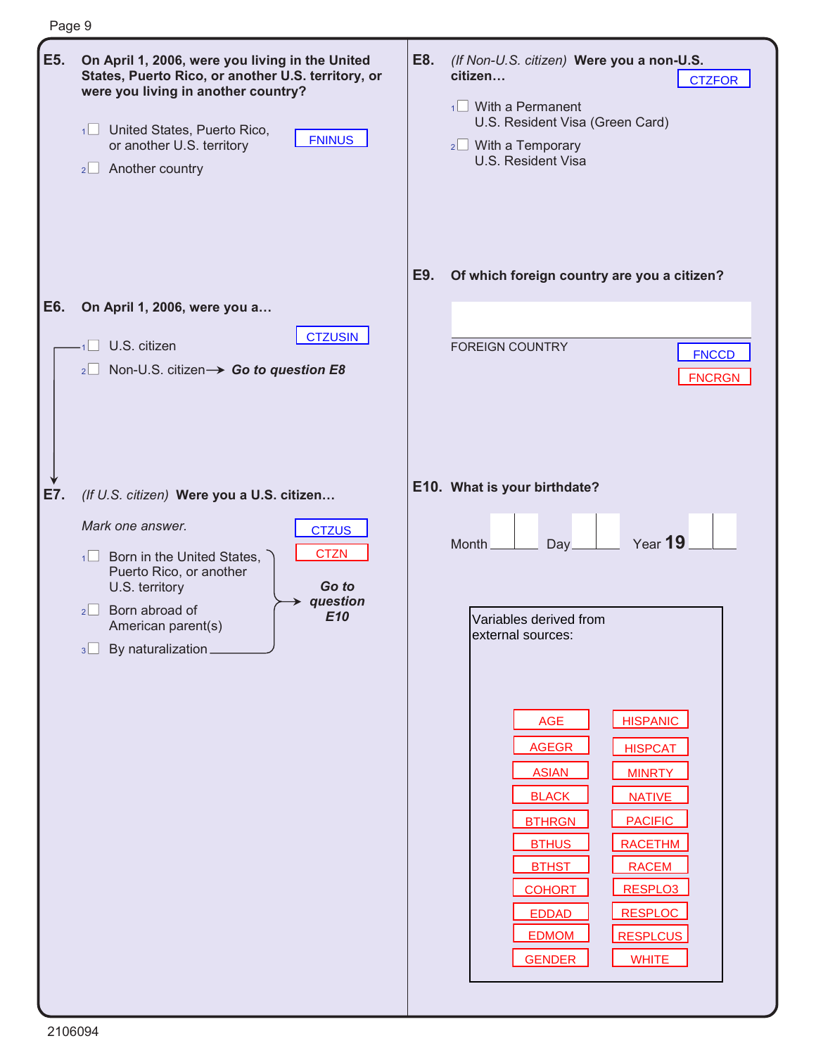| Page 9 |                                                                                                                                                                                                                                                         |     |                                                                                                                                                                                                                                                                                                           |
|--------|---------------------------------------------------------------------------------------------------------------------------------------------------------------------------------------------------------------------------------------------------------|-----|-----------------------------------------------------------------------------------------------------------------------------------------------------------------------------------------------------------------------------------------------------------------------------------------------------------|
| E5.    | On April 1, 2006, were you living in the United<br>States, Puerto Rico, or another U.S. territory, or<br>were you living in another country?<br>1 United States, Puerto Rico,<br><b>FNINUS</b><br>or another U.S. territory<br>$2 \Box$ Another country | E8. | (If Non-U.S. citizen) Were you a non-U.S.<br>citizen<br><b>CTZFOR</b><br>$\frac{1}{1}$ With a Permanent<br>U.S. Resident Visa (Green Card)<br>$2 \Box$ With a Temporary<br>U.S. Resident Visa                                                                                                             |
|        |                                                                                                                                                                                                                                                         | E9. | Of which foreign country are you a citizen?                                                                                                                                                                                                                                                               |
| E6.    | On April 1, 2006, were you a<br><b>CTZUSIN</b><br>U.S. citizen<br>Non-U.S. citizen > Go to question E8<br>2                                                                                                                                             |     | <b>FOREIGN COUNTRY</b><br><b>FNCCD</b><br><b>FNCRGN</b>                                                                                                                                                                                                                                                   |
| E7.    | (If U.S. citizen) Were you a U.S. citizen                                                                                                                                                                                                               |     | E10. What is your birthdate?                                                                                                                                                                                                                                                                              |
|        | Mark one answer.<br><b>CTZUS</b><br><b>CTZN</b><br>Born in the United States,<br>1<br>Puerto Rico, or another<br>Go to<br>U.S. territory<br>question<br>Born abroad of<br>$2\sqrt{ }$<br>E10<br>American parent(s)<br>By naturalization_<br>3           |     | Year 19<br>Month<br>Day<br>Variables derived from<br>external sources:<br><b>HISPANIC</b><br>AGE<br><b>AGEGR</b><br><b>HISPCAT</b><br><b>ASIAN</b><br><b>MINRTY</b><br><b>BLACK</b><br><b>NATIVE</b><br><b>BTHRGN</b><br><b>PACIFIC</b><br><b>BTHUS</b><br><b>RACETHM</b><br><b>BTHST</b><br><b>RACEM</b> |
|        |                                                                                                                                                                                                                                                         |     | RESPLO3<br><b>COHORT</b><br><b>RESPLOC</b><br><b>EDDAD</b><br><b>EDMOM</b><br><b>RESPLCUS</b><br><b>GENDER</b><br><b>WHITE</b>                                                                                                                                                                            |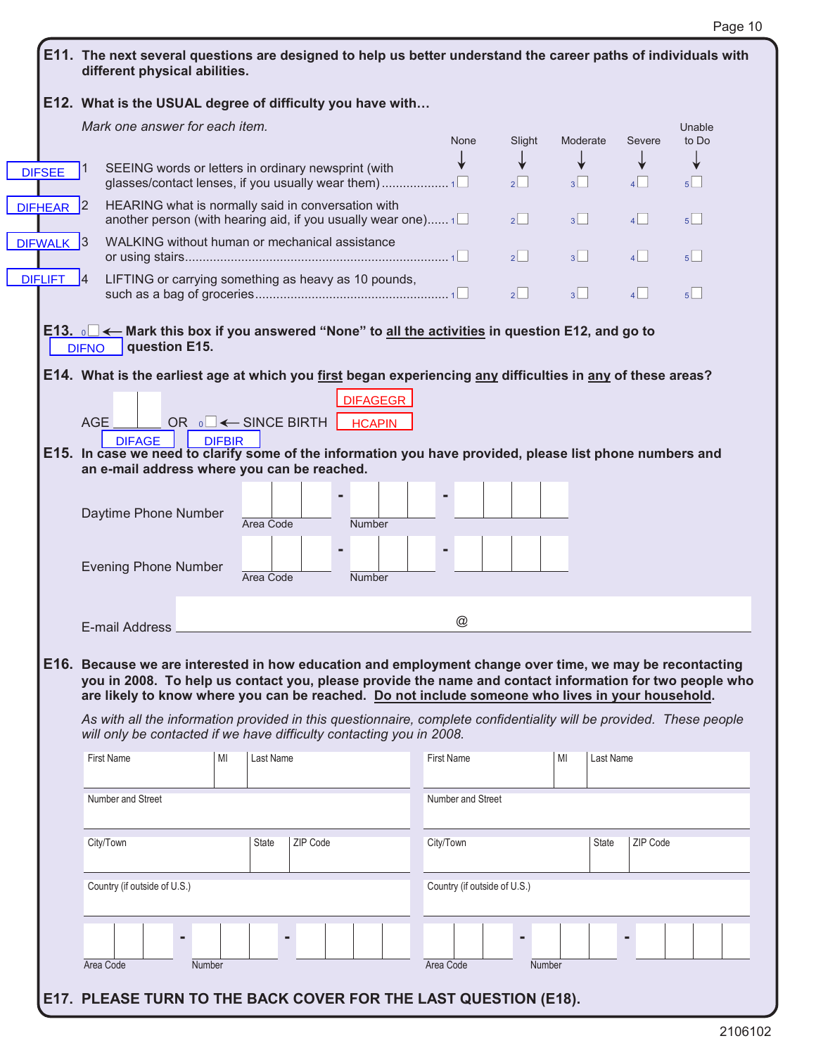|                | E11. The next several questions are designed to help us better understand the career paths of individuals with<br>different physical abilities.                                                                                                                                                                                                                                                                                                                                                                       |               |                                        |          |                                 |                 |           |                              |               |                |           |          |                 |
|----------------|-----------------------------------------------------------------------------------------------------------------------------------------------------------------------------------------------------------------------------------------------------------------------------------------------------------------------------------------------------------------------------------------------------------------------------------------------------------------------------------------------------------------------|---------------|----------------------------------------|----------|---------------------------------|-----------------|-----------|------------------------------|---------------|----------------|-----------|----------|-----------------|
|                | E12. What is the USUAL degree of difficulty you have with                                                                                                                                                                                                                                                                                                                                                                                                                                                             |               |                                        |          |                                 |                 |           |                              |               |                |           |          |                 |
|                | Mark one answer for each item.                                                                                                                                                                                                                                                                                                                                                                                                                                                                                        |               |                                        |          |                                 |                 |           | <b>None</b>                  | Slight        | Moderate       |           | Severe   | Unable<br>to Do |
| <b>DIFSEE</b>  | SEEING words or letters in ordinary newsprint (with                                                                                                                                                                                                                                                                                                                                                                                                                                                                   |               |                                        |          |                                 |                 |           |                              | 2             | 3              |           |          | 5 <sup>1</sup>  |
| <b>DIFHEAR</b> | HEARING what is normally said in conversation with<br> 2 <br>another person (with hearing aid, if you usually wear one) $1\Box$                                                                                                                                                                                                                                                                                                                                                                                       |               |                                        |          |                                 |                 |           |                              | $2$           | 3 <sup>1</sup> |           | 4        | $5\Box$         |
| DIFWALK 3      | WALKING without human or mechanical assistance                                                                                                                                                                                                                                                                                                                                                                                                                                                                        |               |                                        |          |                                 |                 |           |                              | $2^{\vert}$   | 3              |           | 4        | $5^{\sim}$      |
| <b>DIFLIFT</b> | LIFTING or carrying something as heavy as 10 pounds,<br>$\mathsf{I}4$                                                                                                                                                                                                                                                                                                                                                                                                                                                 |               |                                        |          |                                 |                 |           |                              | $2^{\square}$ | 3 <sup>1</sup> |           | 4        | 5               |
|                | E13. $\circ$ $\blacksquare$ $\leftarrow$ Mark this box if you answered "None" to <u>all the activities</u> in question E12, and go to<br>question E15.<br><b>DIFNO</b>                                                                                                                                                                                                                                                                                                                                                |               |                                        |          |                                 |                 |           |                              |               |                |           |          |                 |
|                | E14. What is the earliest age at which you first began experiencing any difficulties in any of these areas?                                                                                                                                                                                                                                                                                                                                                                                                           |               |                                        |          |                                 |                 |           |                              |               |                |           |          |                 |
|                |                                                                                                                                                                                                                                                                                                                                                                                                                                                                                                                       |               |                                        |          |                                 | <b>DIFAGEGR</b> |           |                              |               |                |           |          |                 |
|                | <b>AGE</b>                                                                                                                                                                                                                                                                                                                                                                                                                                                                                                            |               | OR $\circ \Box \leftarrow$ SINCE BIRTH |          |                                 | <b>HCAPIN</b>   |           |                              |               |                |           |          |                 |
|                | <b>DIFAGE</b><br>E15. In case we need to clarify some of the information you have provided, please list phone numbers and<br>an e-mail address where you can be reached.                                                                                                                                                                                                                                                                                                                                              | <b>DIFBIR</b> |                                        |          |                                 |                 |           |                              |               |                |           |          |                 |
|                | Daytime Phone Number                                                                                                                                                                                                                                                                                                                                                                                                                                                                                                  |               | Area Code                              |          | Number                          |                 |           |                              |               |                |           |          |                 |
|                | <b>Evening Phone Number</b>                                                                                                                                                                                                                                                                                                                                                                                                                                                                                           |               | Area Code                              |          | $\blacksquare$<br><b>Number</b> |                 |           |                              |               |                |           |          |                 |
|                | E-mail Address                                                                                                                                                                                                                                                                                                                                                                                                                                                                                                        |               |                                        |          |                                 |                 |           | $^\copyright$                |               |                |           |          |                 |
|                | E16. Because we are interested in how education and employment change over time, we may be recontacting<br>you in 2008. To help us contact you, please provide the name and contact information for two people who<br>are likely to know where you can be reached. Do not include someone who lives in your household.<br>As with all the information provided in this questionnaire, complete confidentiality will be provided. These people<br>will only be contacted if we have difficulty contacting you in 2008. |               |                                        |          |                                 |                 |           |                              |               |                |           |          |                 |
|                | <b>First Name</b>                                                                                                                                                                                                                                                                                                                                                                                                                                                                                                     | MI            | Last Name                              |          |                                 |                 |           | <b>First Name</b>            |               | MI             | Last Name |          |                 |
|                | Number and Street                                                                                                                                                                                                                                                                                                                                                                                                                                                                                                     |               |                                        |          |                                 |                 |           | Number and Street            |               |                |           |          |                 |
|                | City/Town                                                                                                                                                                                                                                                                                                                                                                                                                                                                                                             |               | <b>State</b>                           | ZIP Code |                                 |                 | City/Town |                              |               |                | State     | ZIP Code |                 |
|                | Country (if outside of U.S.)                                                                                                                                                                                                                                                                                                                                                                                                                                                                                          |               |                                        |          |                                 |                 |           | Country (if outside of U.S.) |               |                |           |          |                 |
|                |                                                                                                                                                                                                                                                                                                                                                                                                                                                                                                                       |               |                                        |          |                                 |                 |           |                              |               |                |           |          |                 |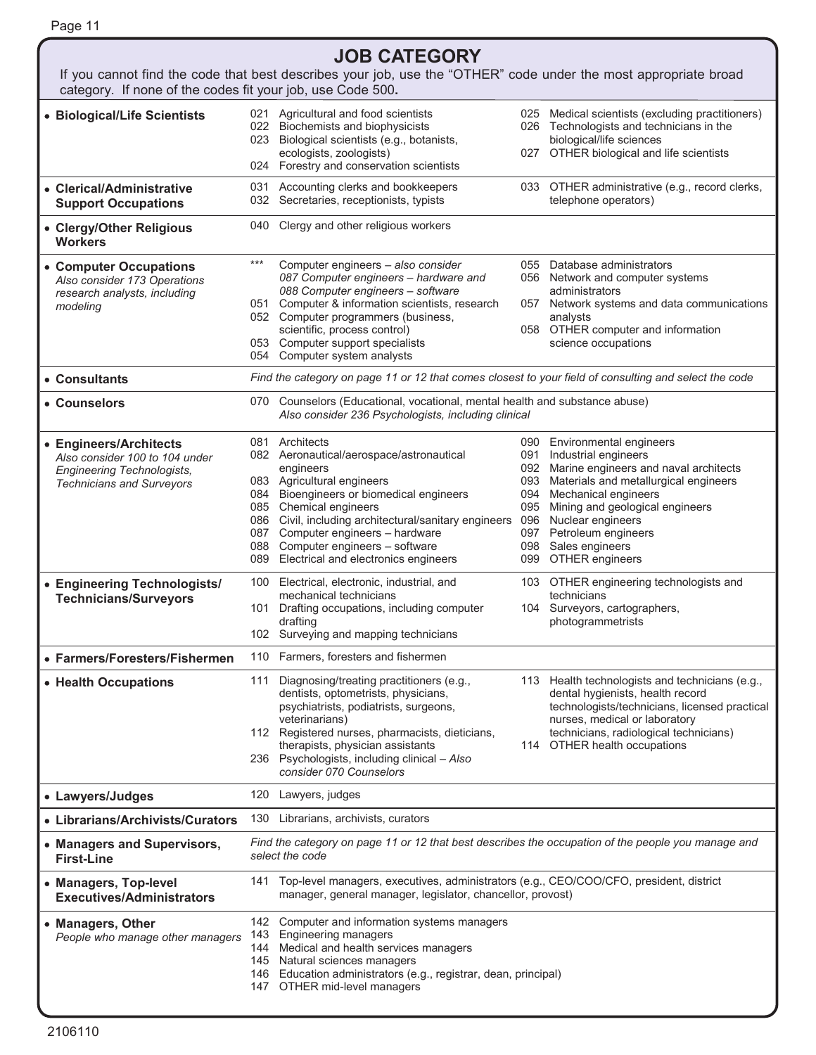|                                                                       |                                                                                                                       | <b>JOB CATEGORY</b>                                                                                                                                                                                                                                          |            |                                                                                                                                      |  |  |  |
|-----------------------------------------------------------------------|-----------------------------------------------------------------------------------------------------------------------|--------------------------------------------------------------------------------------------------------------------------------------------------------------------------------------------------------------------------------------------------------------|------------|--------------------------------------------------------------------------------------------------------------------------------------|--|--|--|
|                                                                       |                                                                                                                       | If you cannot find the code that best describes your job, use the "OTHER" code under the most appropriate broad                                                                                                                                              |            |                                                                                                                                      |  |  |  |
| category. If none of the codes fit your job, use Code 500.            |                                                                                                                       |                                                                                                                                                                                                                                                              |            |                                                                                                                                      |  |  |  |
| • Biological/Life Scientists                                          |                                                                                                                       | 021 Agricultural and food scientists<br>022 Biochemists and biophysicists<br>023 Biological scientists (e.g., botanists,                                                                                                                                     |            | 025 Medical scientists (excluding practitioners)<br>026 Technologists and technicians in the<br>biological/life sciences             |  |  |  |
|                                                                       |                                                                                                                       | ecologists, zoologists)<br>024 Forestry and conservation scientists                                                                                                                                                                                          |            | 027 OTHER biological and life scientists                                                                                             |  |  |  |
| • Clerical/Administrative                                             |                                                                                                                       | 031 Accounting clerks and bookkeepers                                                                                                                                                                                                                        |            | 033 OTHER administrative (e.g., record clerks,                                                                                       |  |  |  |
| <b>Support Occupations</b>                                            |                                                                                                                       | 032 Secretaries, receptionists, typists                                                                                                                                                                                                                      |            | telephone operators)                                                                                                                 |  |  |  |
| • Clergy/Other Religious<br><b>Workers</b>                            |                                                                                                                       | 040 Clergy and other religious workers                                                                                                                                                                                                                       |            |                                                                                                                                      |  |  |  |
| • Computer Occupations<br>Also consider 173 Operations                | $***$                                                                                                                 | Computer engineers - also consider<br>087 Computer engineers - hardware and<br>088 Computer engineers - software                                                                                                                                             |            | 055 Database administrators<br>056 Network and computer systems<br>administrators                                                    |  |  |  |
| research analysts, including<br>modeling                              |                                                                                                                       | 051 Computer & information scientists, research<br>052 Computer programmers (business,                                                                                                                                                                       | 057        | Network systems and data communications<br>analysts                                                                                  |  |  |  |
|                                                                       |                                                                                                                       | scientific, process control)                                                                                                                                                                                                                                 |            | 058 OTHER computer and information                                                                                                   |  |  |  |
|                                                                       |                                                                                                                       | 053 Computer support specialists<br>054 Computer system analysts                                                                                                                                                                                             |            | science occupations                                                                                                                  |  |  |  |
| • Consultants                                                         |                                                                                                                       | Find the category on page 11 or 12 that comes closest to your field of consulting and select the code                                                                                                                                                        |            |                                                                                                                                      |  |  |  |
| • Counselors                                                          |                                                                                                                       | 070 Counselors (Educational, vocational, mental health and substance abuse)<br>Also consider 236 Psychologists, including clinical                                                                                                                           |            |                                                                                                                                      |  |  |  |
| • Engineers/Architects                                                |                                                                                                                       | 081 Architects                                                                                                                                                                                                                                               |            | 090 Environmental engineers                                                                                                          |  |  |  |
| Also consider 100 to 104 under                                        |                                                                                                                       | 082 Aeronautical/aerospace/astronautical<br>engineers                                                                                                                                                                                                        | 091        | Industrial engineers<br>092 Marine engineers and naval architects                                                                    |  |  |  |
| <b>Engineering Technologists,</b><br><b>Technicians and Surveyors</b> |                                                                                                                       | 083 Agricultural engineers                                                                                                                                                                                                                                   |            | 093 Materials and metallurgical engineers                                                                                            |  |  |  |
|                                                                       |                                                                                                                       | 084 Bioengineers or biomedical engineers                                                                                                                                                                                                                     | 094        | Mechanical engineers                                                                                                                 |  |  |  |
|                                                                       |                                                                                                                       | 085 Chemical engineers<br>086 Civil, including architectural/sanitary engineers                                                                                                                                                                              | 095<br>096 | Mining and geological engineers<br>Nuclear engineers                                                                                 |  |  |  |
|                                                                       |                                                                                                                       | 087 Computer engineers - hardware                                                                                                                                                                                                                            | 097        | Petroleum engineers                                                                                                                  |  |  |  |
|                                                                       |                                                                                                                       | 088 Computer engineers - software<br>089 Electrical and electronics engineers                                                                                                                                                                                |            | 098 Sales engineers<br>099 OTHER engineers                                                                                           |  |  |  |
| • Engineering Technologists/                                          | 100                                                                                                                   | Electrical, electronic, industrial, and                                                                                                                                                                                                                      |            | 103 OTHER engineering technologists and                                                                                              |  |  |  |
| <b>Technicians/Surveyors</b>                                          |                                                                                                                       | mechanical technicians<br>101 Drafting occupations, including computer                                                                                                                                                                                       |            | technicians<br>104 Surveyors, cartographers,                                                                                         |  |  |  |
|                                                                       |                                                                                                                       | drafting<br>102 Surveying and mapping technicians                                                                                                                                                                                                            |            | photogrammetrists                                                                                                                    |  |  |  |
| • Farmers/Foresters/Fishermen                                         |                                                                                                                       | 110 Farmers, foresters and fishermen                                                                                                                                                                                                                         |            |                                                                                                                                      |  |  |  |
| • Health Occupations                                                  | 111                                                                                                                   | Diagnosing/treating practitioners (e.g.,<br>dentists, optometrists, physicians,<br>psychiatrists, podiatrists, surgeons,                                                                                                                                     |            | 113 Health technologists and technicians (e.g.,<br>dental hygienists, health record<br>technologists/technicians, licensed practical |  |  |  |
|                                                                       |                                                                                                                       | veterinarians)<br>112 Registered nurses, pharmacists, dieticians,                                                                                                                                                                                            |            | nurses, medical or laboratory<br>technicians, radiological technicians)                                                              |  |  |  |
|                                                                       |                                                                                                                       | therapists, physician assistants<br>236 Psychologists, including clinical - Also<br>consider 070 Counselors                                                                                                                                                  |            | 114 OTHER health occupations                                                                                                         |  |  |  |
| • Lawyers/Judges                                                      |                                                                                                                       | 120 Lawyers, judges                                                                                                                                                                                                                                          |            |                                                                                                                                      |  |  |  |
| • Librarians/Archivists/Curators                                      |                                                                                                                       | 130 Librarians, archivists, curators                                                                                                                                                                                                                         |            |                                                                                                                                      |  |  |  |
| • Managers and Supervisors,<br><b>First-Line</b>                      | Find the category on page 11 or 12 that best describes the occupation of the people you manage and<br>select the code |                                                                                                                                                                                                                                                              |            |                                                                                                                                      |  |  |  |
| • Managers, Top-level<br><b>Executives/Administrators</b>             |                                                                                                                       | 141 Top-level managers, executives, administrators (e.g., CEO/COO/CFO, president, district<br>manager, general manager, legislator, chancellor, provost)                                                                                                     |            |                                                                                                                                      |  |  |  |
| • Managers, Other<br>People who manage other managers                 | 143                                                                                                                   | 142 Computer and information systems managers<br><b>Engineering managers</b><br>144 Medical and health services managers<br>145 Natural sciences managers<br>146 Education administrators (e.g., registrar, dean, principal)<br>147 OTHER mid-level managers |            |                                                                                                                                      |  |  |  |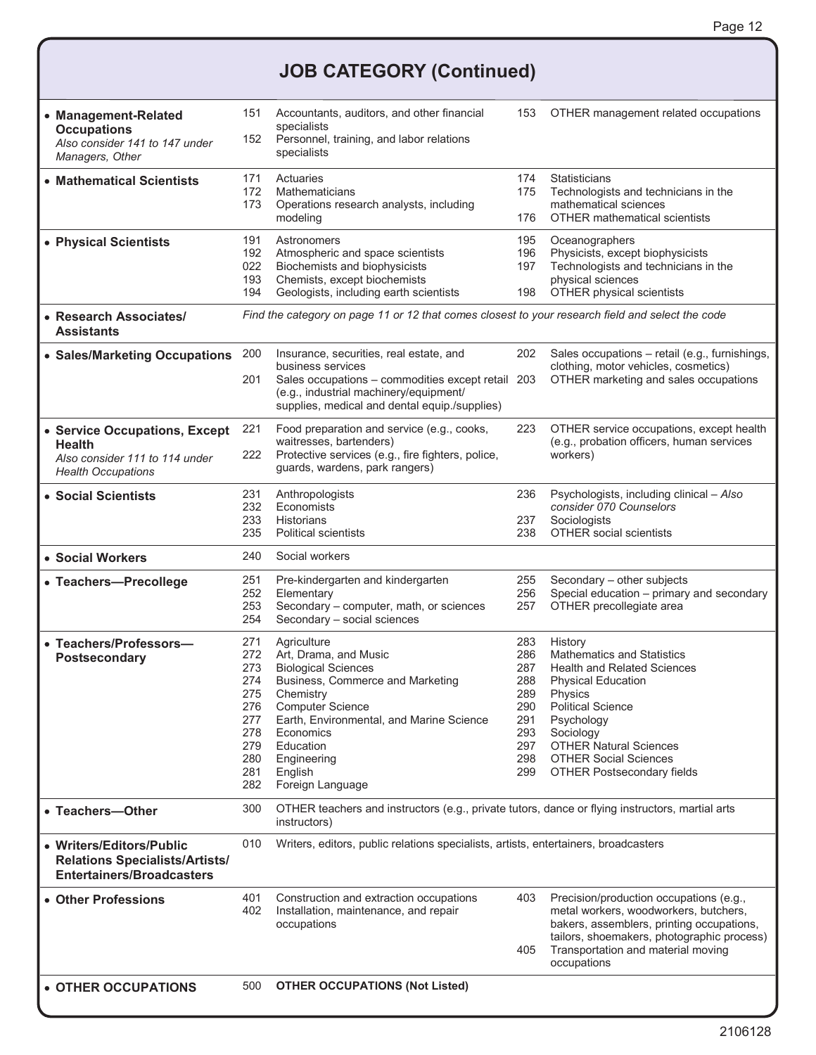## **JOB CATEGORY (Continued)**

| • Management-Related<br><b>Occupations</b><br>Also consider 141 to 147 under<br>Managers, Other               |                                                                                  | Accountants, auditors, and other financial<br>specialists<br>Personnel, training, and labor relations<br>specialists                                                                                                                                               | 153                                                                       | OTHER management related occupations                                                                                                                                                                                                                                                    |
|---------------------------------------------------------------------------------------------------------------|----------------------------------------------------------------------------------|--------------------------------------------------------------------------------------------------------------------------------------------------------------------------------------------------------------------------------------------------------------------|---------------------------------------------------------------------------|-----------------------------------------------------------------------------------------------------------------------------------------------------------------------------------------------------------------------------------------------------------------------------------------|
| • Mathematical Scientists                                                                                     | 171<br>172<br>173                                                                | Actuaries<br>Mathematicians<br>Operations research analysts, including<br>modeling                                                                                                                                                                                 | 174<br>175<br>176                                                         | Statisticians<br>Technologists and technicians in the<br>mathematical sciences<br><b>OTHER mathematical scientists</b>                                                                                                                                                                  |
| • Physical Scientists                                                                                         | 191<br>192<br>022<br>193<br>194                                                  | Astronomers<br>Atmospheric and space scientists<br>Biochemists and biophysicists<br>Chemists, except biochemists<br>Geologists, including earth scientists                                                                                                         | 195<br>196<br>197<br>198                                                  | Oceanographers<br>Physicists, except biophysicists<br>Technologists and technicians in the<br>physical sciences<br>OTHER physical scientists                                                                                                                                            |
| • Research Associates/<br><b>Assistants</b>                                                                   |                                                                                  | Find the category on page 11 or 12 that comes closest to your research field and select the code                                                                                                                                                                   |                                                                           |                                                                                                                                                                                                                                                                                         |
| • Sales/Marketing Occupations                                                                                 | 200<br>201                                                                       | Insurance, securities, real estate, and<br>business services<br>Sales occupations - commodities except retail 203<br>(e.g., industrial machinery/equipment/<br>supplies, medical and dental equip./supplies)                                                       | 202                                                                       | Sales occupations - retail (e.g., furnishings,<br>clothing, motor vehicles, cosmetics)<br>OTHER marketing and sales occupations                                                                                                                                                         |
| • Service Occupations, Except<br><b>Health</b><br>Also consider 111 to 114 under<br><b>Health Occupations</b> | 221<br>222                                                                       | Food preparation and service (e.g., cooks,<br>waitresses, bartenders)<br>Protective services (e.g., fire fighters, police,<br>guards, wardens, park rangers)                                                                                                       | 223                                                                       | OTHER service occupations, except health<br>(e.g., probation officers, human services<br>workers)                                                                                                                                                                                       |
| • Social Scientists                                                                                           | 231<br>232<br>233<br>235                                                         | Anthropologists<br>Economists<br><b>Historians</b><br><b>Political scientists</b>                                                                                                                                                                                  | 236<br>237<br>238                                                         | Psychologists, including clinical - Also<br>consider 070 Counselors<br>Sociologists<br>OTHER social scientists                                                                                                                                                                          |
| • Social Workers                                                                                              | 240                                                                              | Social workers                                                                                                                                                                                                                                                     |                                                                           |                                                                                                                                                                                                                                                                                         |
| • Teachers-Precollege                                                                                         | 251<br>252<br>253<br>254                                                         | Pre-kindergarten and kindergarten<br>Elementary<br>Secondary - computer, math, or sciences<br>Secondary - social sciences                                                                                                                                          | 255<br>256<br>257                                                         | Secondary - other subjects<br>Special education - primary and secondary<br>OTHER precollegiate area                                                                                                                                                                                     |
| • Teachers/Professors-<br>Postsecondary                                                                       | 271<br>272<br>273<br>274<br>275<br>276<br>277<br>278<br>279<br>280<br>281<br>282 | Agriculture<br>Art, Drama, and Music<br><b>Biological Sciences</b><br>Business, Commerce and Marketing<br>Chemistry<br><b>Computer Science</b><br>Earth, Environmental, and Marine Science<br>Economics<br>Education<br>Engineering<br>English<br>Foreign Language | 283<br>286<br>287<br>288<br>289<br>290<br>291<br>293<br>297<br>298<br>299 | History<br><b>Mathematics and Statistics</b><br><b>Health and Related Sciences</b><br><b>Physical Education</b><br>Physics<br><b>Political Science</b><br>Psychology<br>Sociology<br><b>OTHER Natural Sciences</b><br><b>OTHER Social Sciences</b><br><b>OTHER Postsecondary fields</b> |
| • Teachers-Other                                                                                              | 300                                                                              | OTHER teachers and instructors (e.g., private tutors, dance or flying instructors, martial arts<br>instructors)                                                                                                                                                    |                                                                           |                                                                                                                                                                                                                                                                                         |
| • Writers/Editors/Public<br><b>Relations Specialists/Artists/</b><br><b>Entertainers/Broadcasters</b>         | 010                                                                              | Writers, editors, public relations specialists, artists, entertainers, broadcasters                                                                                                                                                                                |                                                                           |                                                                                                                                                                                                                                                                                         |
| • Other Professions                                                                                           | 401<br>402                                                                       | Construction and extraction occupations<br>Installation, maintenance, and repair<br>occupations                                                                                                                                                                    | 403<br>405                                                                | Precision/production occupations (e.g.,<br>metal workers, woodworkers, butchers,<br>bakers, assemblers, printing occupations,<br>tailors, shoemakers, photographic process)<br>Transportation and material moving<br>occupations                                                        |
| • OTHER OCCUPATIONS                                                                                           | 500                                                                              | <b>OTHER OCCUPATIONS (Not Listed)</b>                                                                                                                                                                                                                              |                                                                           |                                                                                                                                                                                                                                                                                         |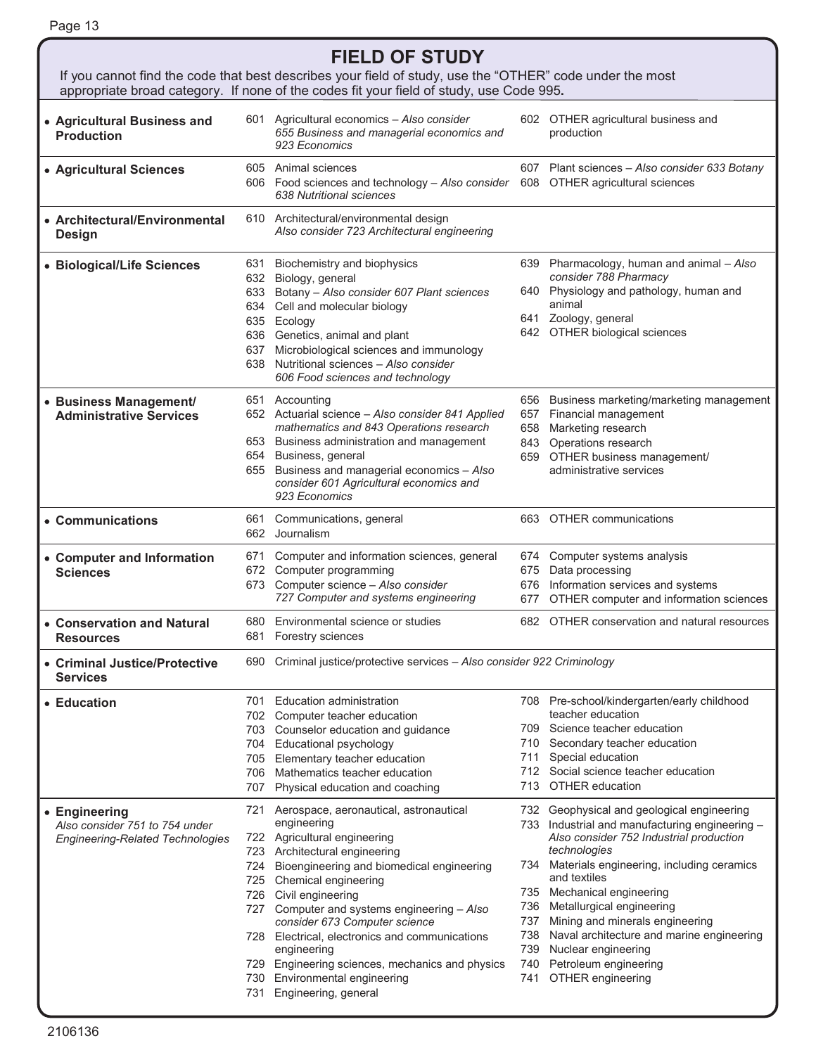| <b>FIELD OF STUDY</b><br>If you cannot find the code that best describes your field of study, use the "OTHER" code under the most |                                                                                                                                                                                                              |                                                                                                                                                                                                                                                                                                                                                                                                                                                                                                                                                                                                                                                                                                                                                                                                                                                                                                                                                                                                                                                                                                                                                                     |                                                                                                                                                                                                                                                                                                                                                                                                                                      |  |  |  |
|-----------------------------------------------------------------------------------------------------------------------------------|--------------------------------------------------------------------------------------------------------------------------------------------------------------------------------------------------------------|---------------------------------------------------------------------------------------------------------------------------------------------------------------------------------------------------------------------------------------------------------------------------------------------------------------------------------------------------------------------------------------------------------------------------------------------------------------------------------------------------------------------------------------------------------------------------------------------------------------------------------------------------------------------------------------------------------------------------------------------------------------------------------------------------------------------------------------------------------------------------------------------------------------------------------------------------------------------------------------------------------------------------------------------------------------------------------------------------------------------------------------------------------------------|--------------------------------------------------------------------------------------------------------------------------------------------------------------------------------------------------------------------------------------------------------------------------------------------------------------------------------------------------------------------------------------------------------------------------------------|--|--|--|
| appropriate broad category. If none of the codes fit your field of study, use Code 995.                                           |                                                                                                                                                                                                              |                                                                                                                                                                                                                                                                                                                                                                                                                                                                                                                                                                                                                                                                                                                                                                                                                                                                                                                                                                                                                                                                                                                                                                     |                                                                                                                                                                                                                                                                                                                                                                                                                                      |  |  |  |
|                                                                                                                                   | 655 Business and managerial economics and<br>923 Economics                                                                                                                                                   |                                                                                                                                                                                                                                                                                                                                                                                                                                                                                                                                                                                                                                                                                                                                                                                                                                                                                                                                                                                                                                                                                                                                                                     | 602 OTHER agricultural business and<br>production                                                                                                                                                                                                                                                                                                                                                                                    |  |  |  |
|                                                                                                                                   | 638 Nutritional sciences                                                                                                                                                                                     |                                                                                                                                                                                                                                                                                                                                                                                                                                                                                                                                                                                                                                                                                                                                                                                                                                                                                                                                                                                                                                                                                                                                                                     | 607 Plant sciences - Also consider 633 Botany<br>608 OTHER agricultural sciences                                                                                                                                                                                                                                                                                                                                                     |  |  |  |
|                                                                                                                                   | Also consider 723 Architectural engineering                                                                                                                                                                  |                                                                                                                                                                                                                                                                                                                                                                                                                                                                                                                                                                                                                                                                                                                                                                                                                                                                                                                                                                                                                                                                                                                                                                     |                                                                                                                                                                                                                                                                                                                                                                                                                                      |  |  |  |
|                                                                                                                                   | Biochemistry and biophysics                                                                                                                                                                                  |                                                                                                                                                                                                                                                                                                                                                                                                                                                                                                                                                                                                                                                                                                                                                                                                                                                                                                                                                                                                                                                                                                                                                                     | 639 Pharmacology, human and animal - Also<br>consider 788 Pharmacy<br>640 Physiology and pathology, human and<br>animal<br>Zoology, general                                                                                                                                                                                                                                                                                          |  |  |  |
|                                                                                                                                   | 606 Food sciences and technology                                                                                                                                                                             |                                                                                                                                                                                                                                                                                                                                                                                                                                                                                                                                                                                                                                                                                                                                                                                                                                                                                                                                                                                                                                                                                                                                                                     | 642 OTHER biological sciences                                                                                                                                                                                                                                                                                                                                                                                                        |  |  |  |
|                                                                                                                                   | mathematics and 843 Operations research<br>consider 601 Agricultural economics and<br>923 Economics                                                                                                          | 657<br>658                                                                                                                                                                                                                                                                                                                                                                                                                                                                                                                                                                                                                                                                                                                                                                                                                                                                                                                                                                                                                                                                                                                                                          | 656 Business marketing/marketing management<br>Financial management<br>Marketing research<br>843 Operations research<br>659 OTHER business management/<br>administrative services                                                                                                                                                                                                                                                    |  |  |  |
| 661                                                                                                                               | Communications, general<br>Journalism                                                                                                                                                                        |                                                                                                                                                                                                                                                                                                                                                                                                                                                                                                                                                                                                                                                                                                                                                                                                                                                                                                                                                                                                                                                                                                                                                                     | 663 OTHER communications                                                                                                                                                                                                                                                                                                                                                                                                             |  |  |  |
| 671                                                                                                                               | Computer and information sciences, general<br>Computer science - Also consider<br>727 Computer and systems engineering                                                                                       |                                                                                                                                                                                                                                                                                                                                                                                                                                                                                                                                                                                                                                                                                                                                                                                                                                                                                                                                                                                                                                                                                                                                                                     | 674 Computer systems analysis<br>675 Data processing<br>676 Information services and systems<br>677 OTHER computer and information sciences                                                                                                                                                                                                                                                                                          |  |  |  |
|                                                                                                                                   |                                                                                                                                                                                                              |                                                                                                                                                                                                                                                                                                                                                                                                                                                                                                                                                                                                                                                                                                                                                                                                                                                                                                                                                                                                                                                                                                                                                                     | 682 OTHER conservation and natural resources                                                                                                                                                                                                                                                                                                                                                                                         |  |  |  |
|                                                                                                                                   | Criminal justice/protective services - Also consider 922 Criminology                                                                                                                                         |                                                                                                                                                                                                                                                                                                                                                                                                                                                                                                                                                                                                                                                                                                                                                                                                                                                                                                                                                                                                                                                                                                                                                                     |                                                                                                                                                                                                                                                                                                                                                                                                                                      |  |  |  |
| 706                                                                                                                               | <b>Educational psychology</b><br>Mathematics teacher education<br>Physical education and coaching                                                                                                            | 709.<br>710<br>711                                                                                                                                                                                                                                                                                                                                                                                                                                                                                                                                                                                                                                                                                                                                                                                                                                                                                                                                                                                                                                                                                                                                                  | 708 Pre-school/kindergarten/early childhood<br>teacher education<br>Science teacher education<br>Secondary teacher education<br>Special education<br>712 Social science teacher education<br>713 OTHER education                                                                                                                                                                                                                     |  |  |  |
| 723<br>725                                                                                                                        | engineering<br>Architectural engineering<br>Bioengineering and biomedical engineering<br>Chemical engineering<br>consider 673 Computer science<br>engineering<br>Engineering sciences, mechanics and physics | 734<br>736<br>737<br>738<br>739<br>740<br>741                                                                                                                                                                                                                                                                                                                                                                                                                                                                                                                                                                                                                                                                                                                                                                                                                                                                                                                                                                                                                                                                                                                       | 732 Geophysical and geological engineering<br>733 Industrial and manufacturing engineering -<br>Also consider 752 Industrial production<br>technologies<br>Materials engineering, including ceramics<br>and textiles<br>735 Mechanical engineering<br>Metallurgical engineering<br>Mining and minerals engineering<br>Naval architecture and marine engineering<br>Nuclear engineering<br>Petroleum engineering<br>OTHER engineering |  |  |  |
|                                                                                                                                   |                                                                                                                                                                                                              | 601 Agricultural economics - Also consider<br>605 Animal sciences<br>606 Food sciences and technology - Also consider<br>610 Architectural/environmental design<br>631<br>632 Biology, general<br>633 Botany - Also consider 607 Plant sciences<br>634 Cell and molecular biology<br>635 Ecology<br>636 Genetics, animal and plant<br>637 Microbiological sciences and immunology<br>638 Nutritional sciences - Also consider<br>651 Accounting<br>652 Actuarial science - Also consider 841 Applied<br>653 Business administration and management<br>654 Business, general<br>655 Business and managerial economics - Also<br>662<br>672 Computer programming<br>673<br>680 Environmental science or studies<br>681 Forestry sciences<br>690<br>701 Education administration<br>702 Computer teacher education<br>703 Counselor education and guidance<br>704<br>705 Elementary teacher education<br>707<br>721 Aerospace, aeronautical, astronautical<br>722 Agricultural engineering<br>724<br>726 Civil engineering<br>727 Computer and systems engineering - Also<br>728 Electrical, electronics and communications<br>729<br>Environmental engineering<br>730 | 641                                                                                                                                                                                                                                                                                                                                                                                                                                  |  |  |  |

j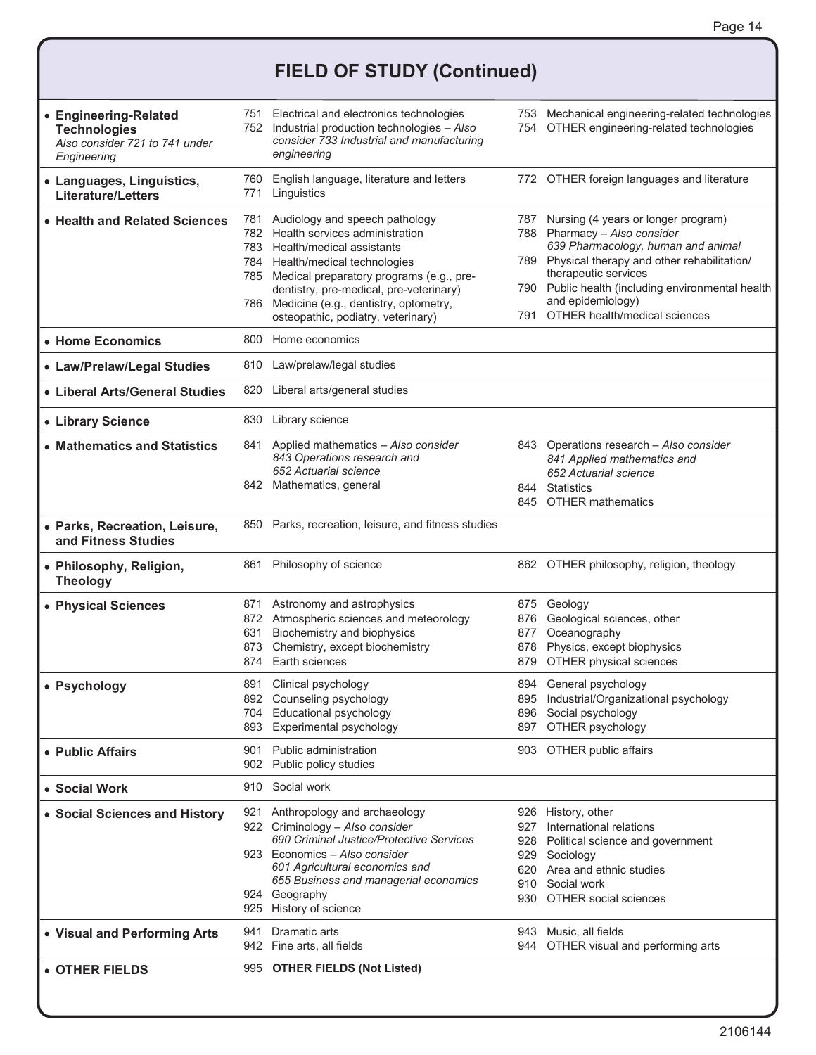## **FIELD OF STUDY (Continued)**

| • Engineering-Related<br><b>Technologies</b><br>Also consider 721 to 741 under<br>Engineering | 752        | 751 Electrical and electronics technologies<br>Industrial production technologies - Also<br>consider 733 Industrial and manufacturing<br>engineering                                                                                                                                                                   |                          | 753 Mechanical engineering-related technologies<br>754 OTHER engineering-related technologies                                                                                                                                                                                                      |
|-----------------------------------------------------------------------------------------------|------------|------------------------------------------------------------------------------------------------------------------------------------------------------------------------------------------------------------------------------------------------------------------------------------------------------------------------|--------------------------|----------------------------------------------------------------------------------------------------------------------------------------------------------------------------------------------------------------------------------------------------------------------------------------------------|
| • Languages, Linguistics,<br><b>Literature/Letters</b>                                        | 760<br>771 | English language, literature and letters<br>Linguistics                                                                                                                                                                                                                                                                |                          | 772 OTHER foreign languages and literature                                                                                                                                                                                                                                                         |
| • Health and Related Sciences                                                                 | 781        | Audiology and speech pathology<br>782 Health services administration<br>783 Health/medical assistants<br>784 Health/medical technologies<br>785 Medical preparatory programs (e.g., pre-<br>dentistry, pre-medical, pre-veterinary)<br>786 Medicine (e.g., dentistry, optometry,<br>osteopathic, podiatry, veterinary) | 791                      | 787 Nursing (4 years or longer program)<br>788 Pharmacy - Also consider<br>639 Pharmacology, human and animal<br>789 Physical therapy and other rehabilitation/<br>therapeutic services<br>790 Public health (including environmental health<br>and epidemiology)<br>OTHER health/medical sciences |
| • Home Economics                                                                              | 800        | Home economics                                                                                                                                                                                                                                                                                                         |                          |                                                                                                                                                                                                                                                                                                    |
| • Law/Prelaw/Legal Studies                                                                    |            | 810 Law/prelaw/legal studies                                                                                                                                                                                                                                                                                           |                          |                                                                                                                                                                                                                                                                                                    |
| • Liberal Arts/General Studies                                                                |            | 820 Liberal arts/general studies                                                                                                                                                                                                                                                                                       |                          |                                                                                                                                                                                                                                                                                                    |
| • Library Science                                                                             | 830        | Library science                                                                                                                                                                                                                                                                                                        |                          |                                                                                                                                                                                                                                                                                                    |
| • Mathematics and Statistics                                                                  |            | 841 Applied mathematics - Also consider<br>843 Operations research and<br>652 Actuarial science<br>842 Mathematics, general                                                                                                                                                                                            | 844                      | 843 Operations research - Also consider<br>841 Applied mathematics and<br>652 Actuarial science<br><b>Statistics</b><br>845 OTHER mathematics                                                                                                                                                      |
| · Parks, Recreation, Leisure,<br>and Fitness Studies                                          |            | 850 Parks, recreation, leisure, and fitness studies                                                                                                                                                                                                                                                                    |                          |                                                                                                                                                                                                                                                                                                    |
| • Philosophy, Religion,<br><b>Theology</b>                                                    |            | 861 Philosophy of science                                                                                                                                                                                                                                                                                              |                          | 862 OTHER philosophy, religion, theology                                                                                                                                                                                                                                                           |
| • Physical Sciences                                                                           | 631        | 871 Astronomy and astrophysics<br>872 Atmospheric sciences and meteorology<br>Biochemistry and biophysics<br>873 Chemistry, except biochemistry<br>874 Earth sciences                                                                                                                                                  | 876<br>877<br>878<br>879 | 875 Geology<br>Geological sciences, other<br>Oceanography<br>Physics, except biophysics<br>OTHER physical sciences                                                                                                                                                                                 |
| • Psychology                                                                                  |            | 891 Clinical psychology<br>892 Counseling psychology<br>704 Educational psychology<br>893 Experimental psychology                                                                                                                                                                                                      | 896<br>897               | 894 General psychology<br>895 Industrial/Organizational psychology<br>Social psychology<br>OTHER psychology                                                                                                                                                                                        |
| • Public Affairs                                                                              |            | 901 Public administration<br>902 Public policy studies                                                                                                                                                                                                                                                                 |                          | 903 OTHER public affairs                                                                                                                                                                                                                                                                           |
| • Social Work                                                                                 |            | 910 Social work                                                                                                                                                                                                                                                                                                        |                          |                                                                                                                                                                                                                                                                                                    |
| • Social Sciences and History                                                                 |            | 921 Anthropology and archaeology<br>922 Criminology - Also consider<br>690 Criminal Justice/Protective Services<br>923 Economics - Also consider<br>601 Agricultural economics and<br>655 Business and managerial economics<br>924 Geography<br>925 History of science                                                 | 927<br>929<br>930        | 926 History, other<br>International relations<br>928 Political science and government<br>Sociology<br>620 Area and ethnic studies<br>910 Social work<br><b>OTHER social sciences</b>                                                                                                               |
| • Visual and Performing Arts                                                                  | 941        | Dramatic arts<br>942 Fine arts, all fields                                                                                                                                                                                                                                                                             |                          | 943 Music, all fields<br>944 OTHER visual and performing arts                                                                                                                                                                                                                                      |
| • OTHER FIELDS                                                                                |            | 995 OTHER FIELDS (Not Listed)                                                                                                                                                                                                                                                                                          |                          |                                                                                                                                                                                                                                                                                                    |